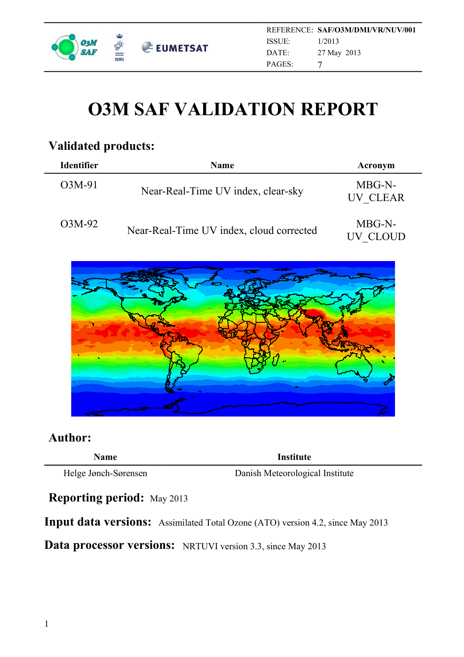

# **O3M SAF VALIDATION REPORT**

### **Validated products:**

| <b>Identifier</b> | <b>Name</b>                              | Acronym            |
|-------------------|------------------------------------------|--------------------|
| O3M-91            | Near-Real-Time UV index, clear-sky       | MBG-N-<br>UV CLEAR |
| O3M-92            | Near-Real-Time UV index, cloud corrected | MBG-N-<br>UV CLOUD |



#### **Author:**

| <b>\ame</b> |  |
|-------------|--|
|             |  |

**Institute** 

Helge Jønch-Sørensen Danish Meteorological Institute

**Reporting period:** May 2013

**Input data versions:** Assimilated Total Ozone (ATO) version 4.2, since May 2013

**Data processor versions:** NRTUVI version 3.3, since May 2013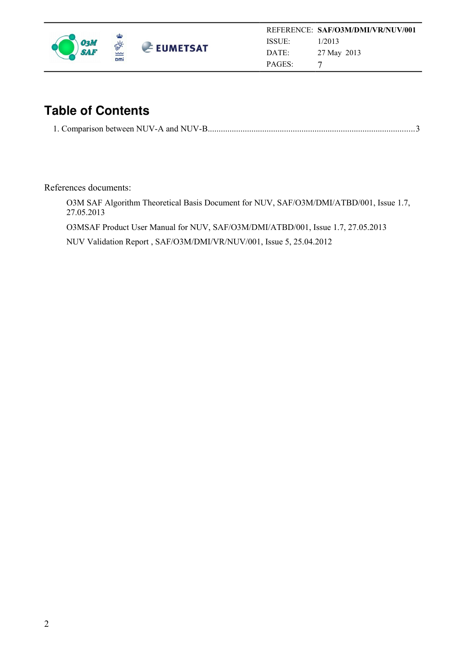

## **Table of Contents**

|--|--|

References documents:

O3M SAF Algorithm Theoretical Basis Document for NUV, SAF/O3M/DMI/ATBD/001, Issue 1.7, 27.05.2013

O3MSAF Product User Manual for NUV, SAF/O3M/DMI/ATBD/001, Issue 1.7, 27.05.2013

NUV Validation Report , SAF/O3M/DMI/VR/NUV/001, Issue 5, 25.04.2012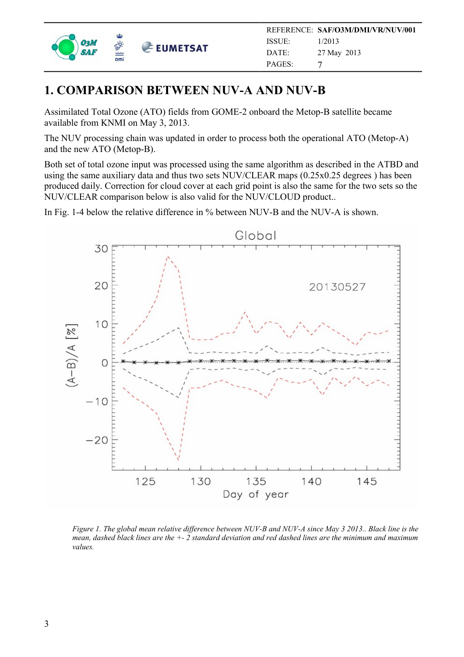

#### <span id="page-2-0"></span>**1. COMPARISON BETWEEN NUV-A AND NUV-B**

Assimilated Total Ozone (ATO) fields from GOME-2 onboard the Metop-B satellite became available from KNMI on May 3, 2013.

The NUV processing chain was updated in order to process both the operational ATO (Metop-A) and the new ATO (Metop-B).

Both set of total ozone input was processed using the same algorithm as described in the ATBD and using the same auxiliary data and thus two sets NUV/CLEAR maps (0.25x0.25 degrees ) has been produced daily. Correction for cloud cover at each grid point is also the same for the two sets so the NUV/CLEAR comparison below is also valid for the NUV/CLOUD product..

In Fig. 1-4 below the relative difference in % between NUV-B and the NUV-A is shown.



*Figure 1. The global mean relative difference between NUV-B and NUV-A since May 3 2013.. Black line is the mean, dashed black lines are the +- 2 standard deviation and red dashed lines are the minimum and maximum values.*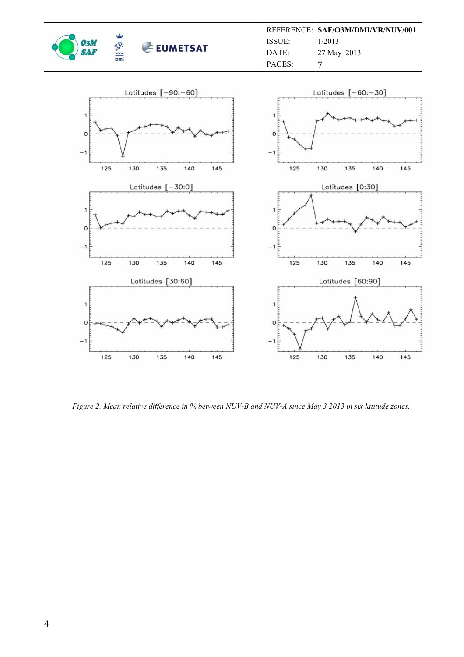

REFERENCE: **SAF/O3M/DMI/VR/NUV/001** ISSUE: DATE: PAGES: 1/2013 27 May 2013 7



*Figure 2. Mean relative difference in % between NUV-B and NUV-A since May 3 2013 in six latitude zones.*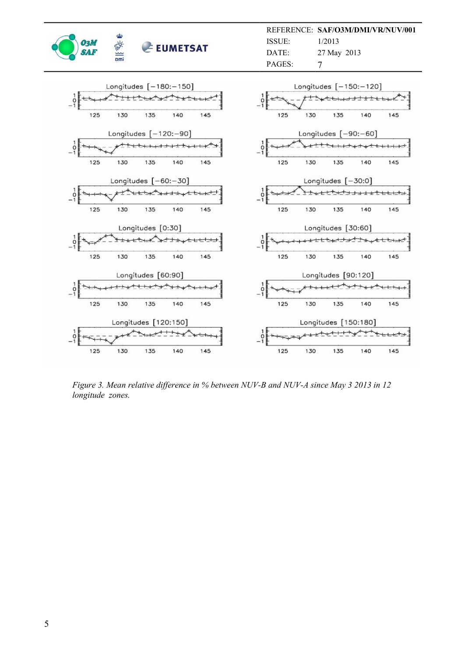

REFERENCE: **SAF/O3M/DMI/VR/NUV/001** ISSUE: DATE: PAGES: 1/2013 27 May 2013 7



*Figure 3. Mean relative difference in % between NUV-B and NUV-A since May 3 2013 in 12 longitude zones.*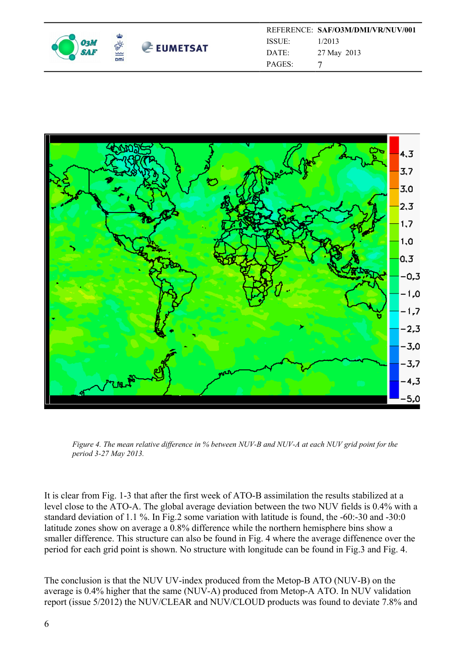

|                    | REFERENCE: SAF/O3M/DMI/VR/NUV/001 |
|--------------------|-----------------------------------|
| ISSUE <sup>.</sup> | 1/2013                            |
| DATE:              | 27 May 2013                       |
| <b>PAGES:</b>      | 7                                 |



*Figure 4. The mean relative difference in % between NUV-B and NUV-A at each NUV grid point for the period 3-27 May 2013.* 

It is clear from Fig. 1-3 that after the first week of ATO-B assimilation the results stabilized at a level close to the ATO-A. The global average deviation between the two NUV fields is 0.4% with a standard deviation of 1.1 %. In Fig.2 some variation with latitude is found, the -60:-30 and -30:0 latitude zones show on average a 0.8% difference while the northern hemisphere bins show a smaller difference. This structure can also be found in Fig. 4 where the average diffenence over the period for each grid point is shown. No structure with longitude can be found in Fig.3 and Fig. 4.

The conclusion is that the NUV UV-index produced from the Metop-B ATO (NUV-B) on the average is 0.4% higher that the same (NUV-A) produced from Metop-A ATO. In NUV validation report (issue 5/2012) the NUV/CLEAR and NUV/CLOUD products was found to deviate 7.8% and